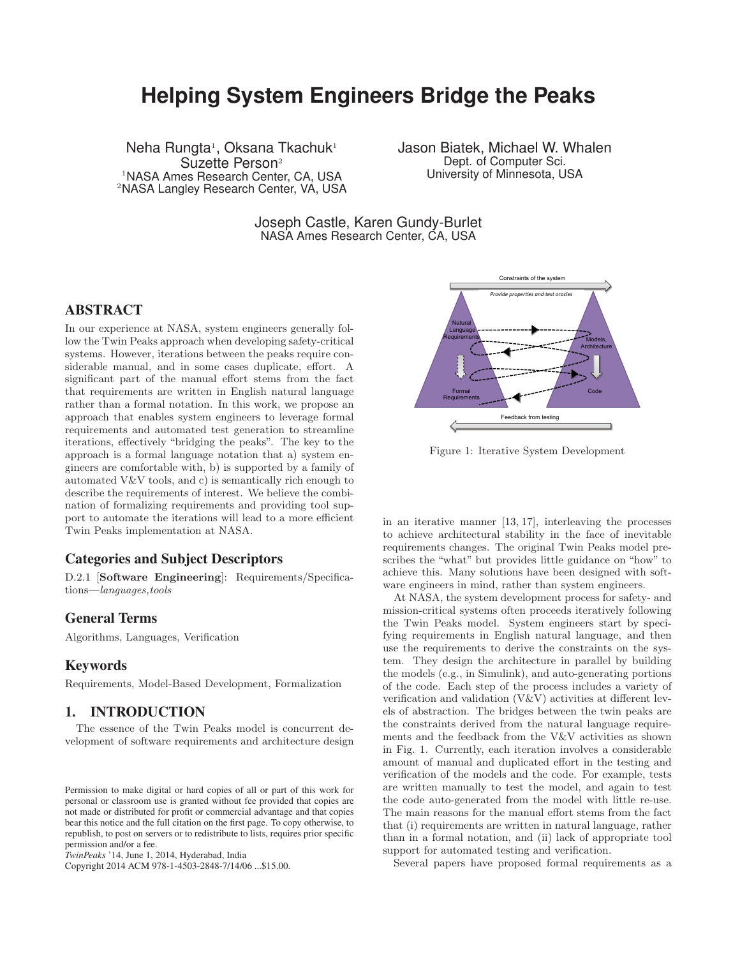# **Helping System Engineers Bridge the Peaks**

Neha Rungta<sup>1</sup>, Oksana Tkachuk<sup>1</sup> Suzette Person<sup>2</sup><br><sup>1</sup>NASA Ames Research Center, CA, USA <sup>2</sup>NASA Langley Research Center, VA, USA Jason Biatek, Michael W. Whalen Dept. of Computer Sci. University of Minnesota, USA

Joseph Castle, Karen Gundy-Burlet NASA Ames Research Center, CA, USA

#### ABSTRACT

In our experience at NASA, system engineers generally follow the Twin Peaks approach when developing safety-critical systems. However, iterations between the peaks require considerable manual, and in some cases duplicate, effort. A significant part of the manual effort stems from the fact that requirements are written in English natural language rather than a formal notation. In this work, we propose an approach that enables system engineers to leverage formal requirements and automated test generation to streamline iterations, effectively "bridging the peaks". The key to the approach is a formal language notation that a) system engineers are comfortable with, b) is supported by a family of automated V&V tools, and c) is semantically rich enough to describe the requirements of interest. We believe the combination of formalizing requirements and providing tool support to automate the iterations will lead to a more efficient Twin Peaks implementation at NASA.

# Categories and Subject Descriptors

D.2.1 [**Software Engineering**]: Requirements/Specifications—languages,tools

## General Terms

Algorithms, Languages, Verification

#### Keywords

Requirements, Model-Based Development, Formalization

# 1. INTRODUCTION

The essence of the Twin Peaks model is concurrent development of software requirements and architecture design

Copyright 2014 ACM 978-1-4503-2848-7/14/06 ...\$15.00.



Figure 1: Iterative System Development

in an iterative manner [13, 17], interleaving the processes to achieve architectural stability in the face of inevitable requirements changes. The original Twin Peaks model prescribes the "what" but provides little guidance on "how" to achieve this. Many solutions have been designed with software engineers in mind, rather than system engineers.

At NASA, the system development process for safety- and mission-critical systems often proceeds iteratively following the Twin Peaks model. System engineers start by specifying requirements in English natural language, and then use the requirements to derive the constraints on the system. They design the architecture in parallel by building the models (e.g., in Simulink), and auto-generating portions of the code. Each step of the process includes a variety of verification and validation (V&V) activities at different levels of abstraction. The bridges between the twin peaks are the constraints derived from the natural language requirements and the feedback from the V&V activities as shown in Fig. 1. Currently, each iteration involves a considerable amount of manual and duplicated effort in the testing and verification of the models and the code. For example, tests are written manually to test the model, and again to test the code auto-generated from the model with little re-use. The main reasons for the manual effort stems from the fact that (i) requirements are written in natural language, rather than in a formal notation, and (ii) lack of appropriate tool support for automated testing and verification.

Several papers have proposed formal requirements as a

Permission to make digital or hard copies of all or part of this work for personal or classroom use is granted without fee provided that copies are not made or distributed for profit or commercial advantage and that copies bear this notice and the full citation on the first page. To copy otherwise, to republish, to post on servers or to redistribute to lists, requires prior specific permission and/or a fee.

*TwinPeaks* '14, June 1, 2014, Hyderabad, India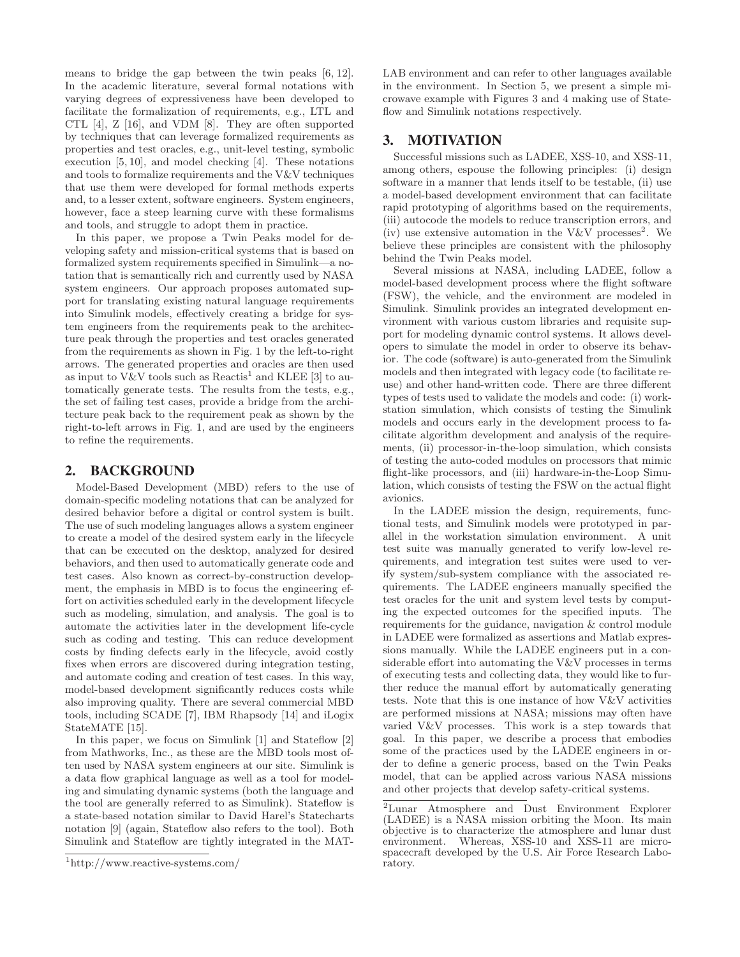means to bridge the gap between the twin peaks [6, 12]. In the academic literature, several formal notations with varying degrees of expressiveness have been developed to facilitate the formalization of requirements, e.g., LTL and CTL [4], Z [16], and VDM [8]. They are often supported by techniques that can leverage formalized requirements as properties and test oracles, e.g., unit-level testing, symbolic execution [5, 10], and model checking [4]. These notations and tools to formalize requirements and the V&V techniques that use them were developed for formal methods experts and, to a lesser extent, software engineers. System engineers, however, face a steep learning curve with these formalisms and tools, and struggle to adopt them in practice.

In this paper, we propose a Twin Peaks model for developing safety and mission-critical systems that is based on formalized system requirements specified in Simulink—a notation that is semantically rich and currently used by NASA system engineers. Our approach proposes automated support for translating existing natural language requirements into Simulink models, effectively creating a bridge for system engineers from the requirements peak to the architecture peak through the properties and test oracles generated from the requirements as shown in Fig. 1 by the left-to-right arrows. The generated properties and oracles are then used as input to V&V tools such as Reactis<sup>1</sup> and KLEE [3] to automatically generate tests. The results from the tests, e.g., the set of failing test cases, provide a bridge from the architecture peak back to the requirement peak as shown by the right-to-left arrows in Fig. 1, and are used by the engineers to refine the requirements.

# 2. BACKGROUND

Model-Based Development (MBD) refers to the use of domain-specific modeling notations that can be analyzed for desired behavior before a digital or control system is built. The use of such modeling languages allows a system engineer to create a model of the desired system early in the lifecycle that can be executed on the desktop, analyzed for desired behaviors, and then used to automatically generate code and test cases. Also known as correct-by-construction development, the emphasis in MBD is to focus the engineering effort on activities scheduled early in the development lifecycle such as modeling, simulation, and analysis. The goal is to automate the activities later in the development life-cycle such as coding and testing. This can reduce development costs by finding defects early in the lifecycle, avoid costly fixes when errors are discovered during integration testing, and automate coding and creation of test cases. In this way, model-based development significantly reduces costs while also improving quality. There are several commercial MBD tools, including SCADE [7], IBM Rhapsody [14] and iLogix StateMATE [15].

In this paper, we focus on Simulink [1] and Stateflow [2] from Mathworks, Inc., as these are the MBD tools most often used by NASA system engineers at our site. Simulink is a data flow graphical language as well as a tool for modeling and simulating dynamic systems (both the language and the tool are generally referred to as Simulink). Stateflow is a state-based notation similar to David Harel's Statecharts notation [9] (again, Stateflow also refers to the tool). Both Simulink and Stateflow are tightly integrated in the MAT- LAB environment and can refer to other languages available in the environment. In Section 5, we present a simple microwave example with Figures 3 and 4 making use of Stateflow and Simulink notations respectively.

## 3. MOTIVATION

Successful missions such as LADEE, XSS-10, and XSS-11, among others, espouse the following principles: (i) design software in a manner that lends itself to be testable, (ii) use a model-based development environment that can facilitate rapid prototyping of algorithms based on the requirements, (iii) autocode the models to reduce transcription errors, and (iv) use extensive automation in the V&V processes<sup>2</sup>. We believe these principles are consistent with the philosophy behind the Twin Peaks model.

Several missions at NASA, including LADEE, follow a model-based development process where the flight software (FSW), the vehicle, and the environment are modeled in Simulink. Simulink provides an integrated development environment with various custom libraries and requisite support for modeling dynamic control systems. It allows developers to simulate the model in order to observe its behavior. The code (software) is auto-generated from the Simulink models and then integrated with legacy code (to facilitate reuse) and other hand-written code. There are three different types of tests used to validate the models and code: (i) workstation simulation, which consists of testing the Simulink models and occurs early in the development process to facilitate algorithm development and analysis of the requirements, (ii) processor-in-the-loop simulation, which consists of testing the auto-coded modules on processors that mimic flight-like processors, and (iii) hardware-in-the-Loop Simulation, which consists of testing the FSW on the actual flight avionics.

In the LADEE mission the design, requirements, functional tests, and Simulink models were prototyped in parallel in the workstation simulation environment. A unit test suite was manually generated to verify low-level requirements, and integration test suites were used to verify system/sub-system compliance with the associated requirements. The LADEE engineers manually specified the test oracles for the unit and system level tests by computing the expected outcomes for the specified inputs. The requirements for the guidance, navigation & control module in LADEE were formalized as assertions and Matlab expressions manually. While the LADEE engineers put in a considerable effort into automating the V&V processes in terms of executing tests and collecting data, they would like to further reduce the manual effort by automatically generating tests. Note that this is one instance of how V&V activities are performed missions at NASA; missions may often have varied V&V processes. This work is a step towards that goal. In this paper, we describe a process that embodies some of the practices used by the LADEE engineers in order to define a generic process, based on the Twin Peaks model, that can be applied across various NASA missions and other projects that develop safety-critical systems.

<sup>1</sup>http://www.reactive-systems.com/

<sup>2</sup>Lunar Atmosphere and Dust Environment Explorer (LADEE) is a  $NASA$  mission orbiting the Moon. Its main objective is to characterize the atmosphere and lunar dust environment. Whereas, XSS-10 and XSS-11 are microspacecraft developed by the U.S. Air Force Research Laboratory.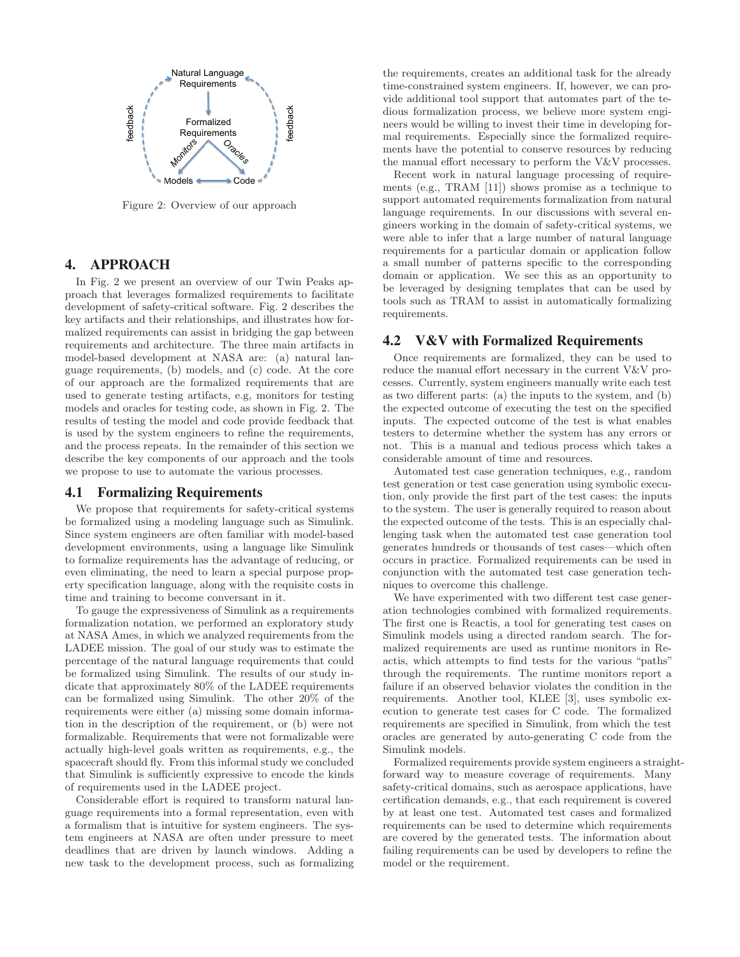

Figure 2: Overview of our approach

# 4. APPROACH

In Fig. 2 we present an overview of our Twin Peaks approach that leverages formalized requirements to facilitate development of safety-critical software. Fig. 2 describes the key artifacts and their relationships, and illustrates how formalized requirements can assist in bridging the gap between requirements and architecture. The three main artifacts in model-based development at NASA are: (a) natural language requirements, (b) models, and (c) code. At the core of our approach are the formalized requirements that are used to generate testing artifacts, e.g, monitors for testing models and oracles for testing code, as shown in Fig. 2. The results of testing the model and code provide feedback that is used by the system engineers to refine the requirements, and the process repeats. In the remainder of this section we describe the key components of our approach and the tools we propose to use to automate the various processes.

#### 4.1 Formalizing Requirements

We propose that requirements for safety-critical systems be formalized using a modeling language such as Simulink. Since system engineers are often familiar with model-based development environments, using a language like Simulink to formalize requirements has the advantage of reducing, or even eliminating, the need to learn a special purpose property specification language, along with the requisite costs in time and training to become conversant in it.

To gauge the expressiveness of Simulink as a requirements formalization notation, we performed an exploratory study at NASA Ames, in which we analyzed requirements from the LADEE mission. The goal of our study was to estimate the percentage of the natural language requirements that could be formalized using Simulink. The results of our study indicate that approximately 80% of the LADEE requirements can be formalized using Simulink. The other 20% of the requirements were either (a) missing some domain information in the description of the requirement, or (b) were not formalizable. Requirements that were not formalizable were actually high-level goals written as requirements, e.g., the spacecraft should fly. From this informal study we concluded that Simulink is sufficiently expressive to encode the kinds of requirements used in the LADEE project.

Considerable effort is required to transform natural language requirements into a formal representation, even with a formalism that is intuitive for system engineers. The system engineers at NASA are often under pressure to meet deadlines that are driven by launch windows. Adding a new task to the development process, such as formalizing the requirements, creates an additional task for the already time-constrained system engineers. If, however, we can provide additional tool support that automates part of the tedious formalization process, we believe more system engineers would be willing to invest their time in developing formal requirements. Especially since the formalized requirements have the potential to conserve resources by reducing the manual effort necessary to perform the V&V processes.

Recent work in natural language processing of requirements (e.g., TRAM [11]) shows promise as a technique to support automated requirements formalization from natural language requirements. In our discussions with several engineers working in the domain of safety-critical systems, we were able to infer that a large number of natural language requirements for a particular domain or application follow a small number of patterns specific to the corresponding domain or application. We see this as an opportunity to be leveraged by designing templates that can be used by tools such as TRAM to assist in automatically formalizing requirements.

#### 4.2 V&V with Formalized Requirements

Once requirements are formalized, they can be used to reduce the manual effort necessary in the current V&V processes. Currently, system engineers manually write each test as two different parts: (a) the inputs to the system, and (b) the expected outcome of executing the test on the specified inputs. The expected outcome of the test is what enables testers to determine whether the system has any errors or not. This is a manual and tedious process which takes a considerable amount of time and resources.

Automated test case generation techniques, e.g., random test generation or test case generation using symbolic execution, only provide the first part of the test cases: the inputs to the system. The user is generally required to reason about the expected outcome of the tests. This is an especially challenging task when the automated test case generation tool generates hundreds or thousands of test cases—which often occurs in practice. Formalized requirements can be used in conjunction with the automated test case generation techniques to overcome this challenge.

We have experimented with two different test case generation technologies combined with formalized requirements. The first one is Reactis, a tool for generating test cases on Simulink models using a directed random search. The formalized requirements are used as runtime monitors in Reactis, which attempts to find tests for the various "paths" through the requirements. The runtime monitors report a failure if an observed behavior violates the condition in the requirements. Another tool, KLEE [3], uses symbolic execution to generate test cases for C code. The formalized requirements are specified in Simulink, from which the test oracles are generated by auto-generating C code from the Simulink models.

Formalized requirements provide system engineers a straightforward way to measure coverage of requirements. Many safety-critical domains, such as aerospace applications, have certification demands, e.g., that each requirement is covered by at least one test. Automated test cases and formalized requirements can be used to determine which requirements are covered by the generated tests. The information about failing requirements can be used by developers to refine the model or the requirement.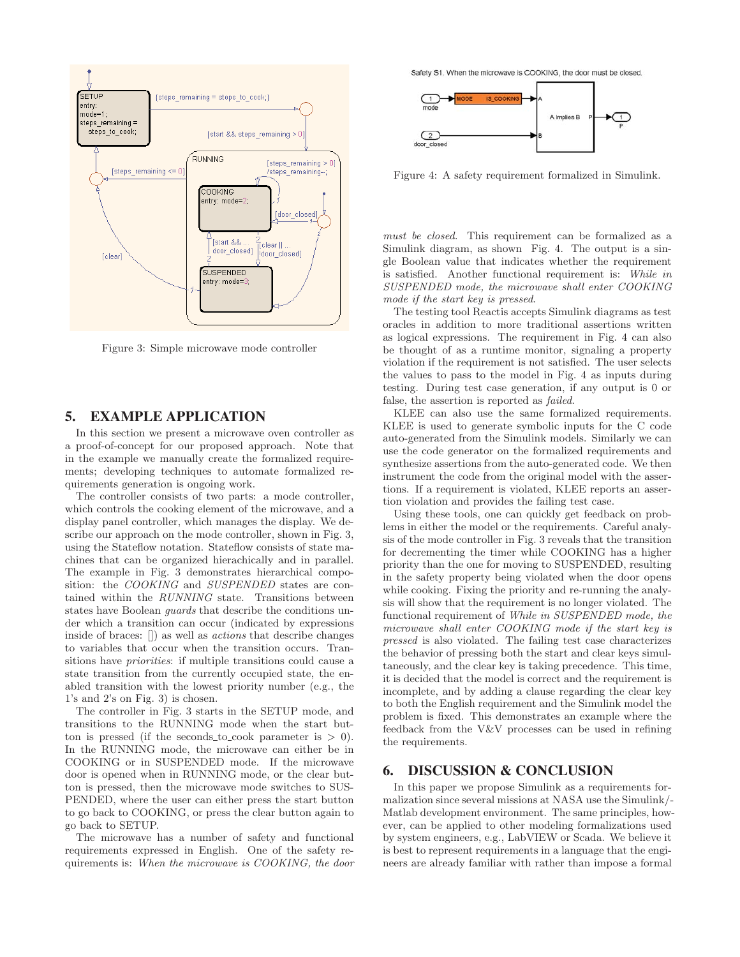

Figure 3: Simple microwave mode controller

#### 5. EXAMPLE APPLICATION

In this section we present a microwave oven controller as a proof-of-concept for our proposed approach. Note that in the example we manually create the formalized requirements; developing techniques to automate formalized requirements generation is ongoing work.

The controller consists of two parts: a mode controller, which controls the cooking element of the microwave, and a display panel controller, which manages the display. We describe our approach on the mode controller, shown in Fig. 3, using the Stateflow notation. Stateflow consists of state machines that can be organized hierachically and in parallel. The example in Fig. 3 demonstrates hierarchical composition: the COOKING and SUSPENDED states are contained within the RUNNING state. Transitions between states have Boolean guards that describe the conditions under which a transition can occur (indicated by expressions inside of braces: []) as well as actions that describe changes to variables that occur when the transition occurs. Transitions have *priorities*: if multiple transitions could cause a state transition from the currently occupied state, the enabled transition with the lowest priority number (e.g., the 1's and 2's on Fig. 3) is chosen.

The controller in Fig. 3 starts in the SETUP mode, and transitions to the RUNNING mode when the start button is pressed (if the seconds to cook parameter is  $> 0$ ). In the RUNNING mode, the microwave can either be in COOKING or in SUSPENDED mode. If the microwave door is opened when in RUNNING mode, or the clear button is pressed, then the microwave mode switches to SUS-PENDED, where the user can either press the start button to go back to COOKING, or press the clear button again to go back to SETUP.

The microwave has a number of safety and functional requirements expressed in English. One of the safety requirements is: When the microwave is COOKING, the door

Safety S1. When the microwave is COOKING, the door must be closed



Figure 4: A safety requirement formalized in Simulink.

must be closed. This requirement can be formalized as a Simulink diagram, as shown Fig. 4. The output is a single Boolean value that indicates whether the requirement is satisfied. Another functional requirement is: While in SUSPENDED mode, the microwave shall enter COOKING mode if the start key is pressed.

The testing tool Reactis accepts Simulink diagrams as test oracles in addition to more traditional assertions written as logical expressions. The requirement in Fig. 4 can also be thought of as a runtime monitor, signaling a property violation if the requirement is not satisfied. The user selects the values to pass to the model in Fig. 4 as inputs during testing. During test case generation, if any output is 0 or false, the assertion is reported as failed.

KLEE can also use the same formalized requirements. KLEE is used to generate symbolic inputs for the C code auto-generated from the Simulink models. Similarly we can use the code generator on the formalized requirements and synthesize assertions from the auto-generated code. We then instrument the code from the original model with the assertions. If a requirement is violated, KLEE reports an assertion violation and provides the failing test case.

Using these tools, one can quickly get feedback on problems in either the model or the requirements. Careful analysis of the mode controller in Fig. 3 reveals that the transition for decrementing the timer while COOKING has a higher priority than the one for moving to SUSPENDED, resulting in the safety property being violated when the door opens while cooking. Fixing the priority and re-running the analysis will show that the requirement is no longer violated. The functional requirement of While in SUSPENDED mode, the microwave shall enter COOKING mode if the start key is pressed is also violated. The failing test case characterizes the behavior of pressing both the start and clear keys simultaneously, and the clear key is taking precedence. This time, it is decided that the model is correct and the requirement is incomplete, and by adding a clause regarding the clear key to both the English requirement and the Simulink model the problem is fixed. This demonstrates an example where the feedback from the V&V processes can be used in refining the requirements.

# 6. DISCUSSION & CONCLUSION

In this paper we propose Simulink as a requirements formalization since several missions at NASA use the Simulink/- Matlab development environment. The same principles, however, can be applied to other modeling formalizations used by system engineers, e.g., LabVIEW or Scada. We believe it is best to represent requirements in a language that the engineers are already familiar with rather than impose a formal